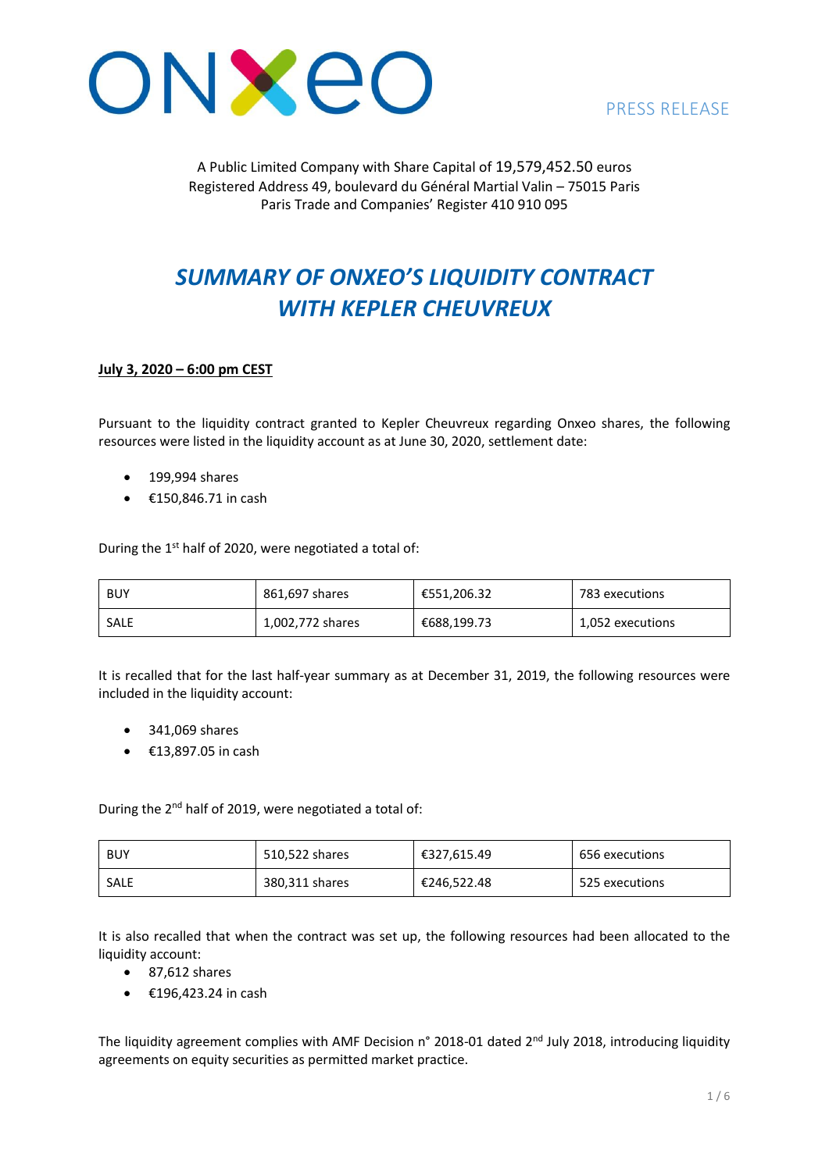

### A Public Limited Company with Share Capital of 19,579,452.50 euros Registered Address 49, boulevard du Général Martial Valin – 75015 Paris Paris Trade and Companies' Register 410 910 095

# *SUMMARY OF ONXEO'S LIQUIDITY CONTRACT WITH KEPLER CHEUVREUX*

### **July 3, 2020 – 6:00 pm CEST**

Pursuant to the liquidity contract granted to Kepler Cheuvreux regarding Onxeo shares, the following resources were listed in the liquidity account as at June 30, 2020, settlement date:

- 199,994 shares
- €150,846.71 in cash

During the 1<sup>st</sup> half of 2020, were negotiated a total of:

| BUY  | 861.697 shares   | €551,206.32 | 783 executions   |
|------|------------------|-------------|------------------|
| SALE | 1,002,772 shares | €688,199.73 | 1,052 executions |

It is recalled that for the last half-year summary as at December 31, 2019, the following resources were included in the liquidity account:

- 341,069 shares
- €13,897.05 in cash

During the 2<sup>nd</sup> half of 2019, were negotiated a total of:

| BUY         | 510.522 shares | €327,615.49 | 656 executions |
|-------------|----------------|-------------|----------------|
| <b>SALE</b> | 380,311 shares | €246,522.48 | 525 executions |

It is also recalled that when the contract was set up, the following resources had been allocated to the liquidity account:

- 87,612 shares
- €196,423.24 in cash

The liquidity agreement complies with AMF Decision n° 2018-01 dated 2<sup>nd</sup> July 2018, introducing liquidity agreements on equity securities as permitted market practice.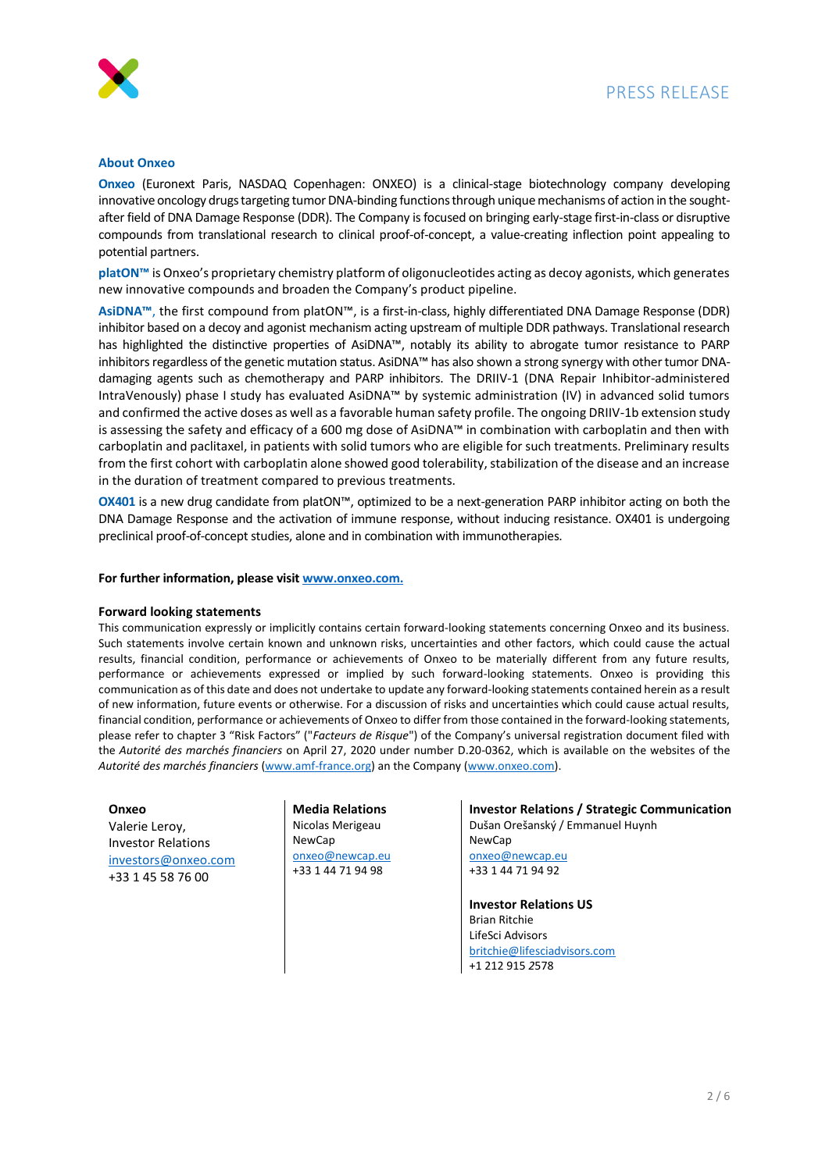



#### **About Onxeo**

**Onxeo** (Euronext Paris, NASDAQ Copenhagen: ONXEO) is a clinical-stage biotechnology company developing innovative oncology drugs targeting tumor DNA-binding functions through unique mechanisms of action in the soughtafter field of DNA Damage Response (DDR). The Company is focused on bringing early-stage first-in-class or disruptive compounds from translational research to clinical proof-of-concept, a value-creating inflection point appealing to potential partners.

**platON™** is Onxeo's proprietary chemistry platform of oligonucleotides acting as decoy agonists, which generates new innovative compounds and broaden the Company's product pipeline.

**AsiDNA™**, the first compound from platON™, is a first-in-class, highly differentiated DNA Damage Response (DDR) inhibitor based on a decoy and agonist mechanism acting upstream of multiple DDR pathways. Translational research has highlighted the distinctive properties of AsiDNA™, notably its ability to abrogate tumor resistance to PARP inhibitors regardless of the genetic mutation status. AsiDNA™ has also shown a strong synergy with other tumor DNAdamaging agents such as chemotherapy and PARP inhibitors. The DRIIV-1 (DNA Repair Inhibitor-administered IntraVenously) phase I study has evaluated AsiDNA™ by systemic administration (IV) in advanced solid tumors and confirmed the active doses as well as a favorable human safety profile. The ongoing DRIIV-1b extension study is assessing the safety and efficacy of a 600 mg dose of AsiDNA™ in combination with carboplatin and then with carboplatin and paclitaxel, in patients with solid tumors who are eligible for such treatments. Preliminary results from the first cohort with carboplatin alone showed good tolerability, stabilization of the disease and an increase in the duration of treatment compared to previous treatments.

**OX401** is a new drug candidate from platON™, optimized to be a next-generation PARP inhibitor acting on both the DNA Damage Response and the activation of immune response, without inducing resistance. OX401 is undergoing preclinical proof-of-concept studies, alone and in combination with immunotherapies.

#### **For further information, please visit www.onxeo.com.**

#### **Forward looking statements**

This communication expressly or implicitly contains certain forward-looking statements concerning Onxeo and its business. Such statements involve certain known and unknown risks, uncertainties and other factors, which could cause the actual results, financial condition, performance or achievements of Onxeo to be materially different from any future results, performance or achievements expressed or implied by such forward-looking statements. Onxeo is providing this communication as of this date and does not undertake to update any forward-looking statements contained herein as a result of new information, future events or otherwise. For a discussion of risks and uncertainties which could cause actual results, financial condition, performance or achievements of Onxeo to differ from those contained in the forward-looking statements, please refer to chapter 3 "Risk Factors" ("*Facteurs de Risque*") of the Company's universal registration document filed with the *Autorité des marchés financiers* on April 27, 2020 under number D.20-0362, which is available on the websites of the *Autorité des marchés financiers* (www.amf-france.org) an the Company [\(www.onxeo.com\)](http://www.onxeo.com/).

**Onxeo** Valerie Leroy, Investor Relations investors@onxeo.com +33 1 45 58 76 00

**Media Relations** Nicolas Merigeau NewCap onxeo@newcap.eu +33 1 44 71 94 98

#### **Investor Relations / Strategic Communication** Dušan Orešanský / Emmanuel Huynh NewCap onxeo@newcap.eu

+33 1 44 71 94 92

**Investor Relations US** Brian Ritchie LifeSci Advisors [britchie@lifesciadvisors.com](mailto:britchie@lifesciadvisors.com) +1 212 915 *2*578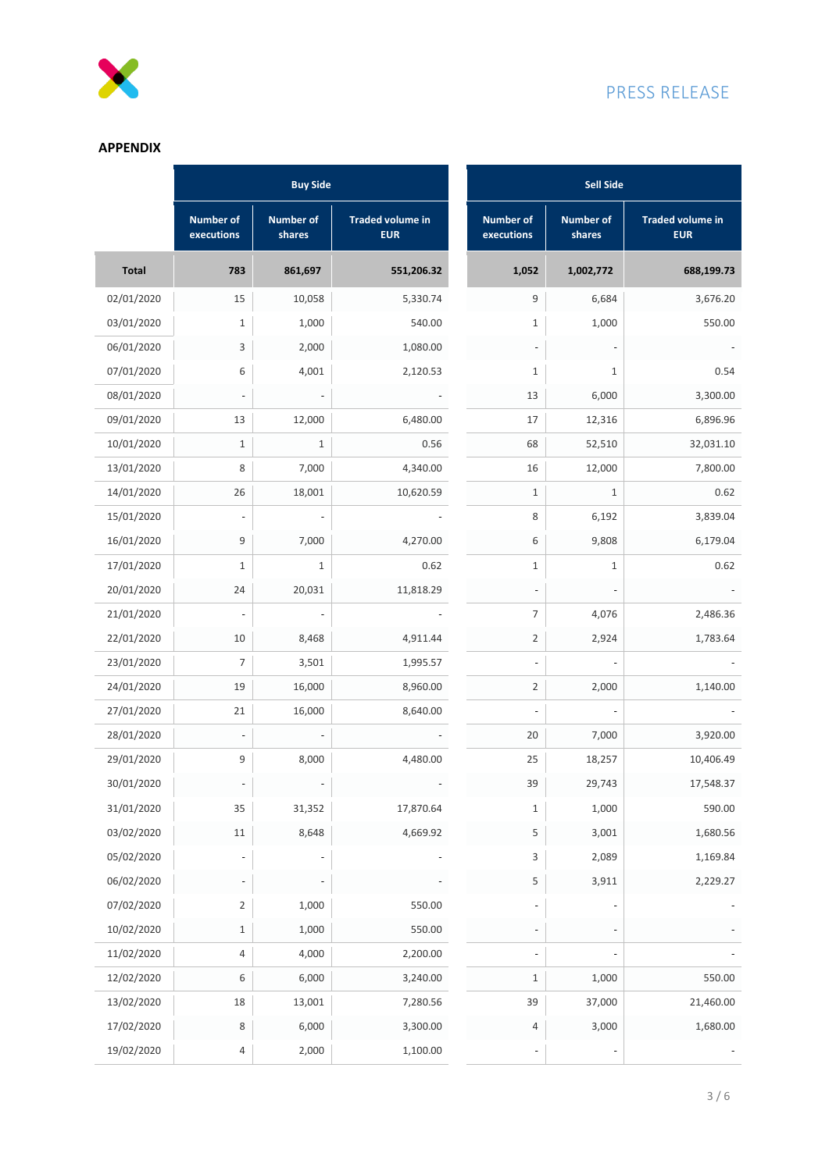

### **APPENDIX**

|              | <b>Buy Side</b>                |                            | <b>Sell Side</b>                      |                                |                            |                                       |
|--------------|--------------------------------|----------------------------|---------------------------------------|--------------------------------|----------------------------|---------------------------------------|
|              | <b>Number of</b><br>executions | <b>Number of</b><br>shares | <b>Traded volume in</b><br><b>EUR</b> | <b>Number of</b><br>executions | <b>Number of</b><br>shares | <b>Traded volume in</b><br><b>EUR</b> |
| <b>Total</b> | 783                            | 861,697                    | 551,206.32                            | 1,052                          | 1,002,772                  | 688,199.73                            |
| 02/01/2020   | 15                             | 10,058                     | 5,330.74                              | 9                              | 6,684                      | 3,676.20                              |
| 03/01/2020   | $\mathbf 1$                    | 1,000                      | 540.00                                | $\mathbf{1}$                   | 1,000                      | 550.00                                |
| 06/01/2020   | 3                              | 2,000                      | 1,080.00                              | $\frac{1}{2}$                  |                            |                                       |
| 07/01/2020   | 6                              | 4,001                      | 2,120.53                              | $1\,$                          | $\mathbf{1}$               | 0.54                                  |
| 08/01/2020   | $\Box$                         | ä,                         |                                       | 13                             | 6,000                      | 3,300.00                              |
| 09/01/2020   | 13                             | 12,000                     | 6,480.00                              | 17                             | 12,316                     | 6,896.96                              |
| 10/01/2020   | $\mathbf{1}$                   | $1\,$                      | 0.56                                  | 68                             | 52,510                     | 32,031.10                             |
| 13/01/2020   | 8                              | 7,000                      | 4,340.00                              | 16                             | 12,000                     | 7,800.00                              |
| 14/01/2020   | 26                             | 18,001                     | 10,620.59                             | $\mathbf{1}$                   | $\mathbf{1}$               | 0.62                                  |
| 15/01/2020   |                                |                            |                                       | 8                              | 6,192                      | 3,839.04                              |
| 16/01/2020   | 9                              | 7,000                      | 4,270.00                              | 6                              | 9,808                      | 6,179.04                              |
| 17/01/2020   | $\mathbf{1}$                   | $\mathbf{1}$               | 0.62                                  | $\mathbf 1$                    | $\mathbf{1}$               | 0.62                                  |
| 20/01/2020   | 24                             | 20,031                     | 11,818.29                             | $\qquad \qquad \blacksquare$   | $\overline{\phantom{a}}$   |                                       |
| 21/01/2020   | $\bar{\phantom{a}}$            |                            |                                       | $\overline{7}$                 | 4,076                      | 2,486.36                              |
| 22/01/2020   | 10                             | 8,468                      | 4,911.44                              | $\overline{2}$                 | 2,924                      | 1,783.64                              |
| 23/01/2020   | 7                              | 3,501                      | 1,995.57                              | $\overline{\phantom{a}}$       |                            |                                       |
| 24/01/2020   | 19                             | 16,000                     | 8,960.00                              | $\overline{2}$                 | 2,000                      | 1,140.00                              |
| 27/01/2020   | 21                             | 16,000                     | 8,640.00                              | L,                             |                            |                                       |
| 28/01/2020   |                                |                            |                                       | 20                             | 7,000                      | 3,920.00                              |
| 29/01/2020   | 9                              | 8,000                      | 4,480.00                              | 25                             | 18,257                     | 10,406.49                             |
| 30/01/2020   |                                |                            |                                       | 39                             | 29,743                     | 17,548.37                             |
| 31/01/2020   | 35                             | 31,352                     | 17,870.64                             | $\mathbf 1$                    | 1,000                      | 590.00                                |
| 03/02/2020   | 11                             | 8,648                      | 4,669.92                              | 5                              | 3,001                      | 1,680.56                              |
| 05/02/2020   |                                |                            |                                       | 3                              | 2,089                      | 1,169.84                              |
| 06/02/2020   |                                |                            |                                       | 5                              | 3,911                      | 2,229.27                              |
| 07/02/2020   | $\overline{2}$                 | 1,000                      | 550.00                                |                                |                            |                                       |
| 10/02/2020   | 1                              | 1,000                      | 550.00                                |                                |                            |                                       |
| 11/02/2020   | 4                              | 4,000                      | 2,200.00                              |                                |                            |                                       |
| 12/02/2020   | 6                              | 6,000                      | 3,240.00                              | $\mathbf 1$                    | 1,000                      | 550.00                                |
| 13/02/2020   | 18                             | 13,001                     | 7,280.56                              | 39                             | 37,000                     | 21,460.00                             |
| 17/02/2020   | 8                              | 6,000                      | 3,300.00                              | 4                              | 3,000                      | 1,680.00                              |
| 19/02/2020   | 4                              | 2,000                      | 1,100.00                              |                                |                            |                                       |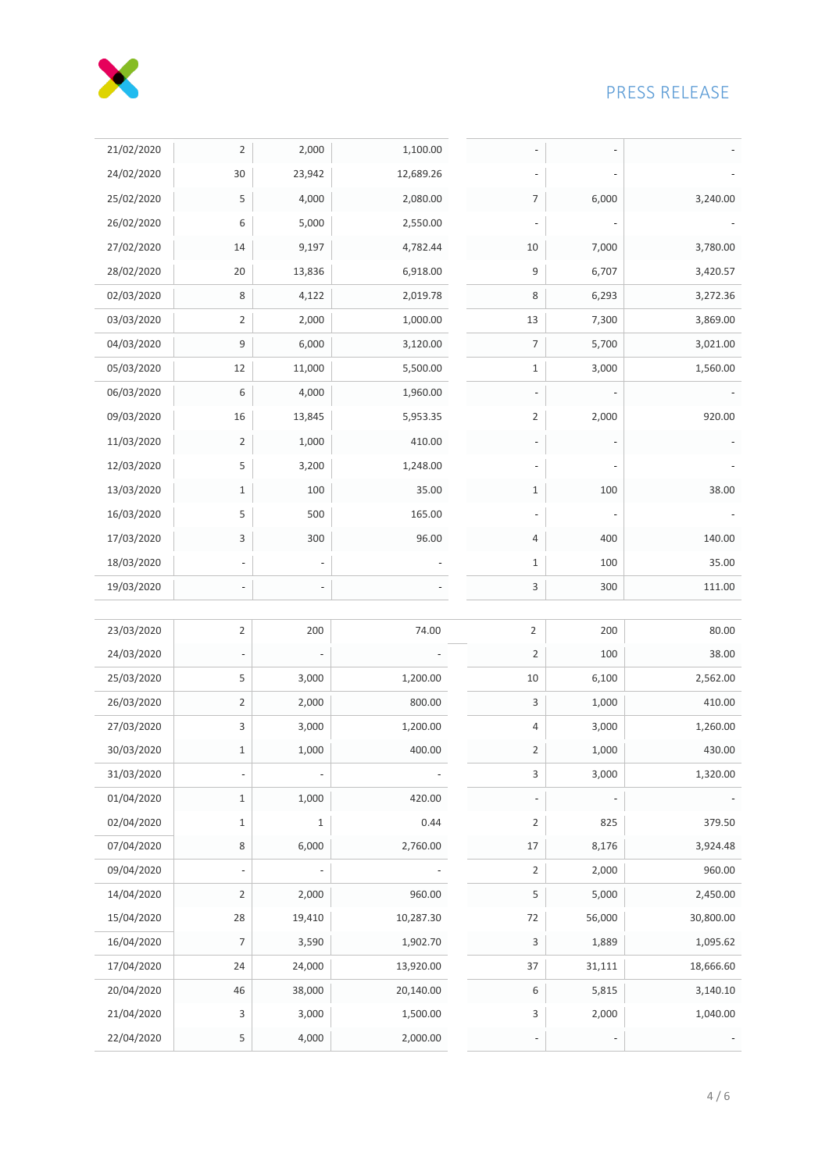

| 21/02/2020 | $\overline{2}$ | 2,000          | 1,100.00  | -                         | $\overline{\phantom{0}}$ |           |
|------------|----------------|----------------|-----------|---------------------------|--------------------------|-----------|
| 24/02/2020 | 30             | 23,942         | 12,689.26 |                           |                          |           |
| 25/02/2020 | 5              | 4,000          | 2,080.00  | $\overline{7}$            | 6,000                    | 3,240.00  |
| 26/02/2020 | 6              | 5,000          | 2,550.00  | $\overline{\phantom{a}}$  |                          |           |
| 27/02/2020 | 14             | 9,197          | 4,782.44  | 10                        | 7,000                    | 3,780.00  |
| 28/02/2020 | 20             | 13,836         | 6,918.00  | 9                         | 6,707                    | 3,420.57  |
| 02/03/2020 | 8              | 4,122          | 2,019.78  | 8                         | 6,293                    | 3,272.36  |
| 03/03/2020 | $\overline{2}$ | 2,000          | 1,000.00  | 13                        | 7,300                    | 3,869.00  |
| 04/03/2020 | 9              | 6,000          | 3,120.00  | $\overline{7}$            | 5,700                    | 3,021.00  |
| 05/03/2020 | 12             | 11,000         | 5,500.00  | $\mathbf{1}$              | 3,000                    | 1,560.00  |
| 06/03/2020 | 6              | 4,000          | 1,960.00  |                           |                          |           |
| 09/03/2020 | 16             | 13,845         | 5,953.35  | 2                         | 2,000                    | 920.00    |
| 11/03/2020 | 2              | 1,000          | 410.00    |                           |                          |           |
| 12/03/2020 | 5              | 3,200          | 1,248.00  |                           |                          |           |
| 13/03/2020 | $\mathbf{1}$   | 100            | 35.00     | $1\,$                     | 100                      | 38.00     |
| 16/03/2020 | 5              | 500            | 165.00    |                           |                          |           |
| 17/03/2020 | 3              | 300            | 96.00     | 4                         | 400                      | 140.00    |
| 18/03/2020 |                |                |           | $1\,$                     | 100                      | 35.00     |
| 19/03/2020 |                | $\overline{a}$ |           | 3                         | 300                      | 111.00    |
|            |                |                |           |                           |                          |           |
|            |                |                |           |                           |                          |           |
| 23/03/2020 | $\overline{2}$ | 200            | 74.00     | $\overline{2}$            | 200                      | 80.00     |
| 24/03/2020 |                |                |           | $\overline{2}$            | 100                      | 38.00     |
| 25/03/2020 | 5              | 3,000          | 1,200.00  | 10                        | 6,100                    | 2,562.00  |
| 26/03/2020 | $\overline{2}$ | 2,000          | 800.00    | 3                         | 1,000                    | 410.00    |
| 27/03/2020 | 3              | 3,000          | 1,200.00  | 4                         | 3,000                    | 1,260.00  |
| 30/03/2020 | $\mathbf 1$    | 1,000          | 400.00    | $\overline{2}$            | 1,000                    | 430.00    |
| 31/03/2020 |                |                |           | $\ensuremath{\mathsf{3}}$ | 3,000                    | 1,320.00  |
| 01/04/2020 | $1\,$          | 1,000          | 420.00    |                           |                          |           |
| 02/04/2020 | $\mathbf{1}$   | $1\,$          | 0.44      | $\overline{2}$            | 825                      | 379.50    |
| 07/04/2020 | 8              | 6,000          | 2,760.00  | 17                        | 8,176                    | 3,924.48  |
| 09/04/2020 |                |                |           | $\overline{2}$            | 2,000                    | 960.00    |
| 14/04/2020 | $\overline{2}$ | 2,000          | 960.00    | 5                         | 5,000                    | 2,450.00  |
| 15/04/2020 | 28             | 19,410         | 10,287.30 | 72                        | 56,000                   | 30,800.00 |
| 16/04/2020 | 7              | 3,590          | 1,902.70  | 3                         | 1,889                    | 1,095.62  |
| 17/04/2020 | 24             | 24,000         | 13,920.00 | 37                        | 31,111                   | 18,666.60 |
| 20/04/2020 | 46             | 38,000         | 20,140.00 | 6                         | 5,815                    | 3,140.10  |
| 21/04/2020 | 3              | 3,000          | 1,500.00  | 3                         | 2,000                    | 1,040.00  |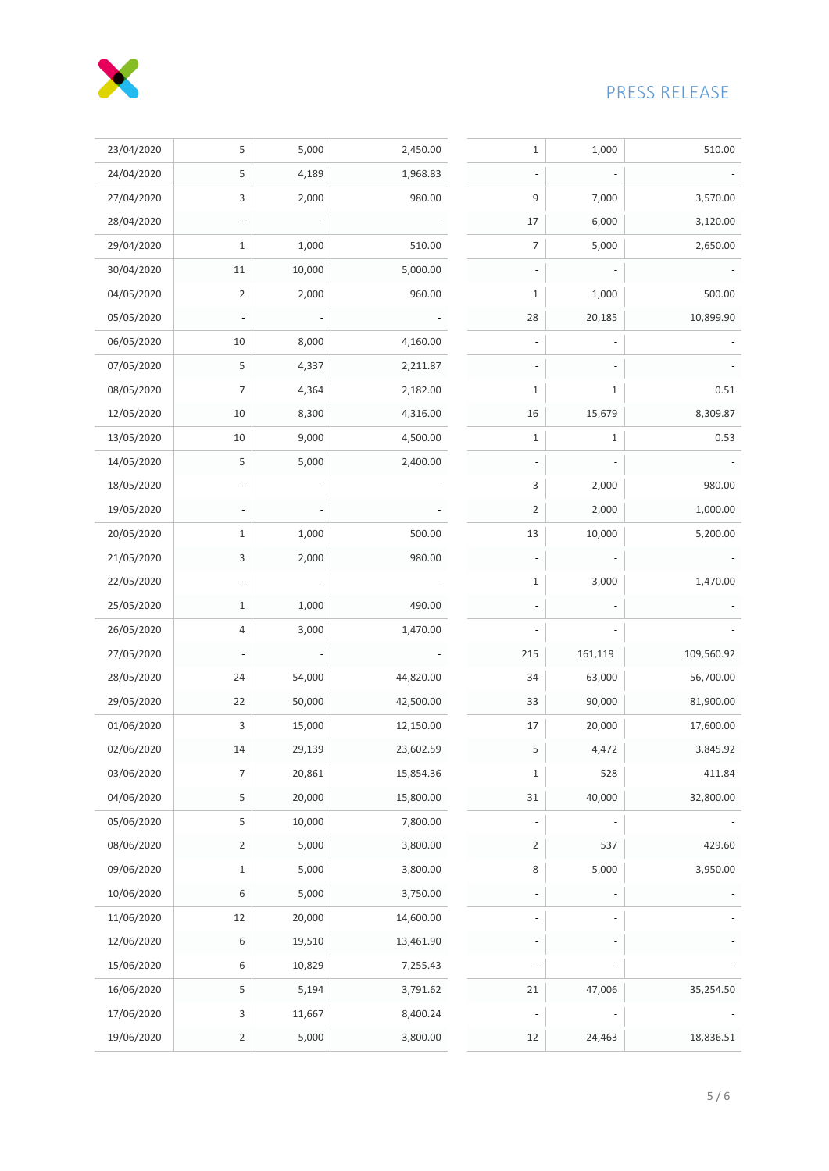



| 510.00     | 1,000                    | $1\,$          | 2,450.00  | 5,000  | 5            | 23/04/2020 |
|------------|--------------------------|----------------|-----------|--------|--------------|------------|
|            |                          |                | 1,968.83  | 4,189  | 5            | 24/04/2020 |
| 3,570.00   | 7,000                    | 9              | 980.00    | 2,000  | 3            | 27/04/2020 |
| 3,120.00   | 6,000                    | 17             |           |        |              | 28/04/2020 |
| 2,650.00   | 5,000                    | $\overline{7}$ | 510.00    | 1,000  | $\mathbf{1}$ | 29/04/2020 |
|            |                          |                | 5,000.00  | 10,000 | 11           | 30/04/2020 |
| 500.00     | 1,000                    | $\mathbf{1}$   | 960.00    | 2,000  | 2            | 04/05/2020 |
| 10,899.90  | 20,185                   | 28             |           |        |              | 05/05/2020 |
|            |                          |                | 4,160.00  | 8,000  | 10           | 06/05/2020 |
|            | $\overline{\phantom{a}}$ |                | 2,211.87  | 4,337  | 5            | 07/05/2020 |
| 0.51       | $\mathbf{1}$             | $1\,$          | 2,182.00  | 4,364  | 7            | 08/05/2020 |
| 8,309.87   | 15,679                   | 16             | 4,316.00  | 8,300  | 10           | 12/05/2020 |
| 0.53       | $\mathbf{1}$             | $\mathbf{1}$   | 4,500.00  | 9,000  | 10           | 13/05/2020 |
|            |                          |                | 2,400.00  | 5,000  | 5            | 14/05/2020 |
| 980.00     | 2,000                    | 3              |           |        |              | 18/05/2020 |
| 1,000.00   | 2,000                    | $\overline{2}$ |           |        |              | 19/05/2020 |
| 5,200.00   | 10,000                   | 13             | 500.00    | 1,000  | $\mathbf 1$  | 20/05/2020 |
|            |                          |                | 980.00    | 2,000  | 3            | 21/05/2020 |
| 1,470.00   | 3,000                    | $1\,$          |           |        |              | 22/05/2020 |
|            |                          |                | 490.00    | 1,000  | $\mathbf{1}$ | 25/05/2020 |
|            |                          |                | 1,470.00  | 3,000  | 4            | 26/05/2020 |
| 109,560.92 | 161,119                  | 215            |           |        |              | 27/05/2020 |
| 56,700.00  | 63,000                   | 34             | 44,820.00 | 54,000 | 24           | 28/05/2020 |
| 81,900.00  | 90,000                   | 33             | 42,500.00 | 50,000 | 22           | 29/05/2020 |
| 17,600.00  | 20,000                   | 17             | 12,150.00 | 15,000 | 3            | 01/06/2020 |
| 3,845.92   | 4,472                    | 5              | 23,602.59 | 29,139 | 14           | 02/06/2020 |
| 411.84     | 528                      | $1\,$          | 15,854.36 | 20,861 | 7            | 03/06/2020 |
| 32,800.00  | 40,000                   | 31             | 15,800.00 | 20,000 | 5            | 04/06/2020 |
|            |                          |                | 7,800.00  | 10,000 | 5            | 05/06/2020 |
| 429.60     | 537                      | $\overline{2}$ | 3,800.00  | 5,000  | 2            | 08/06/2020 |
| 3,950.00   | 5,000                    | 8              | 3,800.00  | 5,000  | $\mathbf{1}$ | 09/06/2020 |
|            |                          |                | 3,750.00  | 5,000  | 6            | 10/06/2020 |
|            | $\overline{\phantom{a}}$ |                | 14,600.00 | 20,000 | 12           | 11/06/2020 |
|            |                          |                | 13,461.90 | 19,510 | 6            | 12/06/2020 |
|            |                          |                | 7,255.43  | 10,829 | 6            | 15/06/2020 |
| 35,254.50  | 47,006                   | 21             | 3,791.62  | 5,194  | 5            | 16/06/2020 |
|            |                          |                | 8,400.24  | 11,667 | 3            | 17/06/2020 |
| 18,836.51  | 24,463                   | 12             | 3,800.00  | 5,000  | 2            | 19/06/2020 |
|            |                          |                |           |        |              |            |